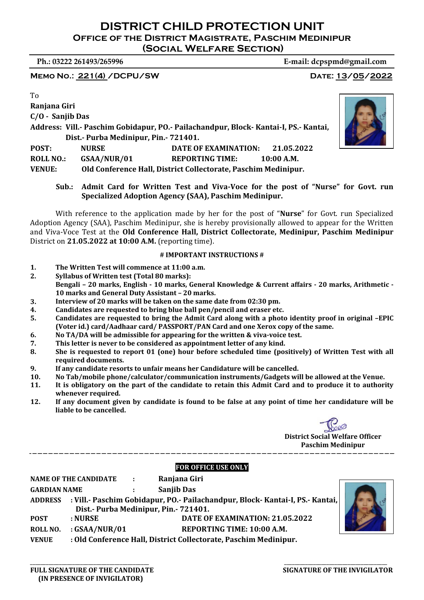**Ph.: 03222 261493/265996 E‐mail: dcpspmd@gmail.com**

**MEMO NO.: 221(4) /DCPU/SW DATE: 13/05/2022** 

To

**Ranjana Giri C/O ‐ Sanjib Das Address: Vill.‐ Paschim Gobidapur, PO.‐ Pailachandpur, Block‐ Kantai‐I, PS.‐ Kantai, Dist.‐ Purba Medinipur, Pin.‐ 721401. POST: NURSE DATE OF EXAMINATION: 21.05.2022 ROLL NO.: GSAA/NUR/01 REPORTING TIME: 10:00 A.M. VENUE: Old Conference Hall, District Collectorate, Paschim Medinipur.**

**Sub.: Admit Card for Written Test and Viva‐Voce for the post of "Nurse" for Govt. run Specialized Adoption Agency (SAA), Paschim Medinipur.**

With reference to the application made by her for the post of "**Nurse**" for Govt. run Specialized Adoption Agency (SAA), Paschim Medinipur, she is hereby provisionally allowed to appear for the Written and Viva-Voce Test at the **Old Conference Hall, District Collectorate, Medinipur, Paschim Medinipur** District on **21.05.2022 at 10:00 A.M.** (reporting time).

#### **# IMPORTANT INSTRUCTIONS #**

- **1. The Written Test will commence at 11:00 a.m.**
- **2. Syllabus of Written test (Total 80 marks):**  Bengali - 20 marks, English - 10 marks, General Knowledge & Current affairs - 20 marks, Arithmetic -**10 marks and General Duty Assistant – 20 marks.**
- **3. Interview of 20 marks will be taken on the same date from 02:30 pm.**
- **4. Candidates are requested to bring blue ball pen/pencil and eraser etc.**
- 5. Candidates are requested to bring the Admit Card along with a photo identity proof in original -EPIC **(Voter id.) card/Aadhaar card/ PASSPORT/PAN Card and one Xerox copy of the same.**
- **6. No TA/DA will be admissible for appearing for the written & viva‐voice test.**
- **7. This letter is never to be considered as appointment letter of any kind.**
- 8. She is requested to report 01 (one) hour before scheduled time (positively) of Written Test with all **required documents.**
- **9. If any candidate resorts to unfair means her Candidature will be cancelled.**
- **10. No Tab/mobile phone/calculator/communication instruments/Gadgets will be allowed at the Venue.**
- 11. It is obligatory on the part of the candidate to retain this Admit Card and to produce it to authority **whenever required.**
- 12. If any document given by candidate is found to be false at any point of time her candidature will be **liable to be cancelled.**



**District Social Welfare Officer Paschim Medinipur**

## **FOR OFFICE USE ONLY**

\_\_\_\_\_\_\_\_\_\_\_\_\_\_\_\_\_\_\_\_\_\_\_\_\_\_\_\_\_\_\_\_\_\_\_\_\_\_\_\_\_\_\_\_\_ \_\_\_\_\_\_\_\_\_\_\_\_\_\_\_\_\_\_\_\_\_\_\_\_\_\_\_\_\_\_\_\_\_\_\_\_\_\_\_

|                     | <b>NAME OF THE CANDIDATE</b> | $\sim$ 100 $\pm$ | Ranjana Giri                                                                          |  |
|---------------------|------------------------------|------------------|---------------------------------------------------------------------------------------|--|
| <b>GARDIAN NAME</b> |                              |                  | <b>Sanjib Das</b>                                                                     |  |
|                     |                              |                  | ADDRESS : Vill.- Paschim Gobidapur, PO.- Pailachandpur, Block- Kantai-I, PS.- Kantai, |  |
|                     |                              |                  | Dist - Purba Medinipur, Pin. - 721401.                                                |  |
| <b>POST</b>         | : NURSE                      |                  | DATE OF EXAMINATION: 21.05.2022                                                       |  |
| <b>ROLL NO.</b>     | $:$ GSAA/NUR/01              |                  | REPORTING TIME: 10:00 A.M.                                                            |  |
| <b>VENUE</b>        |                              |                  | : Old Conference Hall, District Collectorate, Paschim Medinipur.                      |  |



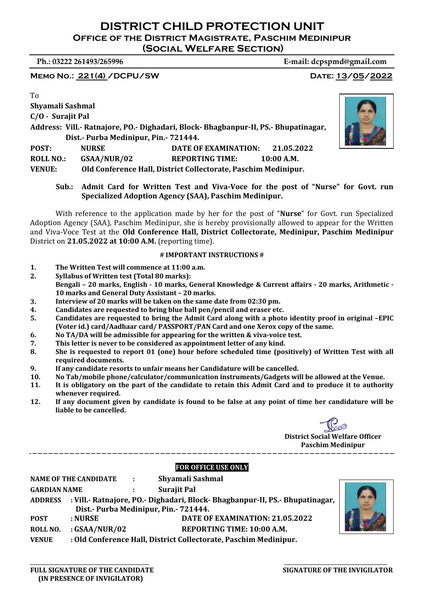**Ph.: 03222 261493/265996 E‐mail: dcpspmd@gmail.com**

**MEMO NO.: 221(4) /DCPU/SW DATE: 13/05/2022** 

To

**Shyamali Sashmal C/O ‐ Surajit Pal**

**Address: Vill.‐ Ratnajore, PO.‐ Dighadari, Block‐ Bhagbanpur‐II, PS.‐ Bhupatinagar, Dist.- Purba Medinipur, Pin. 721444.** 

**POST: NURSE DATE OF EXAMINATION: 21.05.2022 ROLL NO.: GSAA/NUR/02 REPORTING TIME: 10:00 A.M.** 

**VENUE: Old Conference Hall, District Collectorate, Paschim Medinipur.**

**Sub.: Admit Card for Written Test and Viva‐Voce for the post of "Nurse" for Govt. run Specialized Adoption Agency (SAA), Paschim Medinipur.**

With reference to the application made by her for the post of "**Nurse**" for Govt. run Specialized Adoption Agency (SAA), Paschim Medinipur, she is hereby provisionally allowed to appear for the Written and Viva-Voce Test at the **Old Conference Hall, District Collectorate, Medinipur, Paschim Medinipur** District on **21.05.2022 at 10:00 A.M.** (reporting time).

## **# IMPORTANT INSTRUCTIONS #**

- **1. The Written Test will commence at 11:00 a.m.**
- **2. Syllabus of Written test (Total 80 marks):**  Bengali - 20 marks, English - 10 marks, General Knowledge & Current affairs - 20 marks, Arithmetic -**10 marks and General Duty Assistant – 20 marks.**
- **3. Interview of 20 marks will be taken on the same date from 02:30 pm.**
- **4. Candidates are requested to bring blue ball pen/pencil and eraser etc.**
- 5. Candidates are requested to bring the Admit Card along with a photo identity proof in original -EPIC **(Voter id.) card/Aadhaar card/ PASSPORT/PAN Card and one Xerox copy of the same.**
- **6. No TA/DA will be admissible for appearing for the written & viva‐voice test.**
- **7. This letter is never to be considered as appointment letter of any kind.**
- 8. She is requested to report 01 (one) hour before scheduled time (positively) of Written Test with all **required documents.**
- **9. If any candidate resorts to unfair means her Candidature will be cancelled.**
- **10. No Tab/mobile phone/calculator/communication instruments/Gadgets will be allowed at the Venue.**
- 11. It is obligatory on the part of the candidate to retain this Admit Card and to produce it to authority **whenever required.**
- 12. If any document given by candidate is found to be false at any point of time her candidature will be **liable to be cancelled.**



**District Social Welfare Officer Paschim Medinipur**

# **FOR OFFICE USE ONLY**

|                     | <b>NAME OF THE CANDIDATE</b>           | $\sim 100$ | Shyamali Sashmal                                                             |   |
|---------------------|----------------------------------------|------------|------------------------------------------------------------------------------|---|
| <b>GARDIAN NAME</b> |                                        |            | <b>Surajit Pal</b>                                                           | 4 |
| <b>ADDRESS</b>      |                                        |            | : Vill.- Ratnajore, PO.- Dighadari, Block- Bhagbanpur-II, PS.- Bhupatinagar, |   |
|                     | Dist - Purba Medinipur, Pin. - 721444. |            |                                                                              |   |
| <b>POST</b>         | : NURSE                                |            | DATE OF EXAMINATION: 21.05.2022                                              |   |
| ROLL NO.            | $:$ GSAA/NUR/02                        |            | REPORTING TIME: 10:00 A.M.                                                   |   |
| <b>VENUE</b>        |                                        |            | : Old Conference Hall, District Collectorate, Paschim Medinipur.             |   |

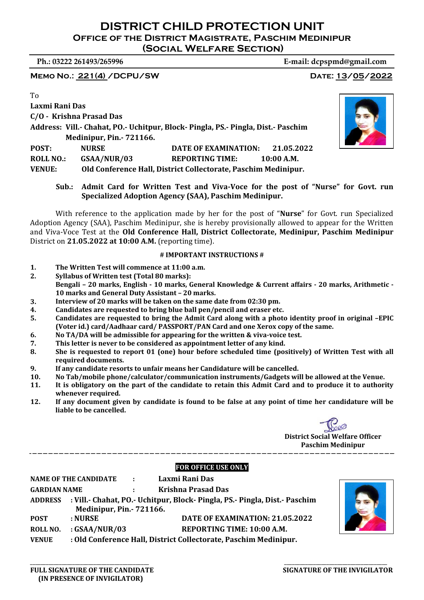MEMO NO.: 221(4) / DCPU/SW DATE: 13/05/2022

# **Ph.: 03222 261493/265996 E‐mail: dcpspmd@gmail.com**

To

| Laxmi Rani Das   |                                |                                                                                   |  |
|------------------|--------------------------------|-----------------------------------------------------------------------------------|--|
|                  | C/O - Krishna Prasad Das       |                                                                                   |  |
|                  |                                | Address: Vill.- Chahat, PO.- Uchitpur, Block- Pingla, PS.- Pingla, Dist.- Paschim |  |
|                  | <b>Medinipur, Pin.-721166.</b> |                                                                                   |  |
| POST:            | <b>NURSE</b>                   | DATE OF EXAMINATION: 21.05.2022                                                   |  |
| <b>ROLL NO.:</b> | GSAA/NUR/03                    | <b>REPORTING TIME:</b><br>$10:00$ A.M.                                            |  |
|                  |                                |                                                                                   |  |

**VENUE: Old Conference Hall, District Collectorate, Paschim Medinipur.**

**Sub.: Admit Card for Written Test and Viva‐Voce for the post of "Nurse" for Govt. run Specialized Adoption Agency (SAA), Paschim Medinipur.**

With reference to the application made by her for the post of "**Nurse**" for Govt. run Specialized Adoption Agency (SAA), Paschim Medinipur, she is hereby provisionally allowed to appear for the Written and Viva-Voce Test at the **Old Conference Hall, District Collectorate, Medinipur, Paschim Medinipur** District on **21.05.2022 at 10:00 A.M.** (reporting time).

## **# IMPORTANT INSTRUCTIONS #**

- **1. The Written Test will commence at 11:00 a.m.**
- **2. Syllabus of Written test (Total 80 marks):**  Bengali - 20 marks, English - 10 marks, General Knowledge & Current affairs - 20 marks, Arithmetic -**10 marks and General Duty Assistant – 20 marks.**
- **3. Interview of 20 marks will be taken on the same date from 02:30 pm.**
- **4. Candidates are requested to bring blue ball pen/pencil and eraser etc.**
- 5. Candidates are requested to bring the Admit Card along with a photo identity proof in original -EPIC **(Voter id.) card/Aadhaar card/ PASSPORT/PAN Card and one Xerox copy of the same.**
- **6. No TA/DA will be admissible for appearing for the written & viva‐voice test.**
- **7. This letter is never to be considered as appointment letter of any kind.**
- 8. She is requested to report 01 (one) hour before scheduled time (positively) of Written Test with all **required documents.**
- **9. If any candidate resorts to unfair means her Candidature will be cancelled.**
- **10. No Tab/mobile phone/calculator/communication instruments/Gadgets will be allowed at the Venue.**
- 11. It is obligatory on the part of the candidate to retain this Admit Card and to produce it to authority **whenever required.**
- 12. If any document given by candidate is found to be false at any point of time her candidature will be **liable to be cancelled.**



**District Social Welfare Officer Paschim Medinipur**

# **FOR OFFICE USE ONLY**

|                     | NAME OF THE CANDIDATE :        |                         | Laxmi Rani Das                                                                     |
|---------------------|--------------------------------|-------------------------|------------------------------------------------------------------------------------|
| <b>GARDIAN NAME</b> |                                | <b>Carl Corporation</b> | <b>Krishna Prasad Das</b>                                                          |
|                     |                                |                         | ADDRESS : Vill.- Chahat, PO.- Uchitpur, Block- Pingla, PS.- Pingla, Dist.- Paschim |
|                     | <b>Medinipur, Pin.-721166.</b> |                         |                                                                                    |
| POST                | : NURSE                        |                         | DATE OF EXAMINATION: 21.05.2022                                                    |
| ROLL NO.            | $:$ GSAA/NUR/03                |                         | REPORTING TIME: 10:00 A.M.                                                         |
| <b>VENUE</b>        |                                |                         | : Old Conference Hall, District Collectorate, Paschim Medinipur.                   |
|                     |                                |                         |                                                                                    |